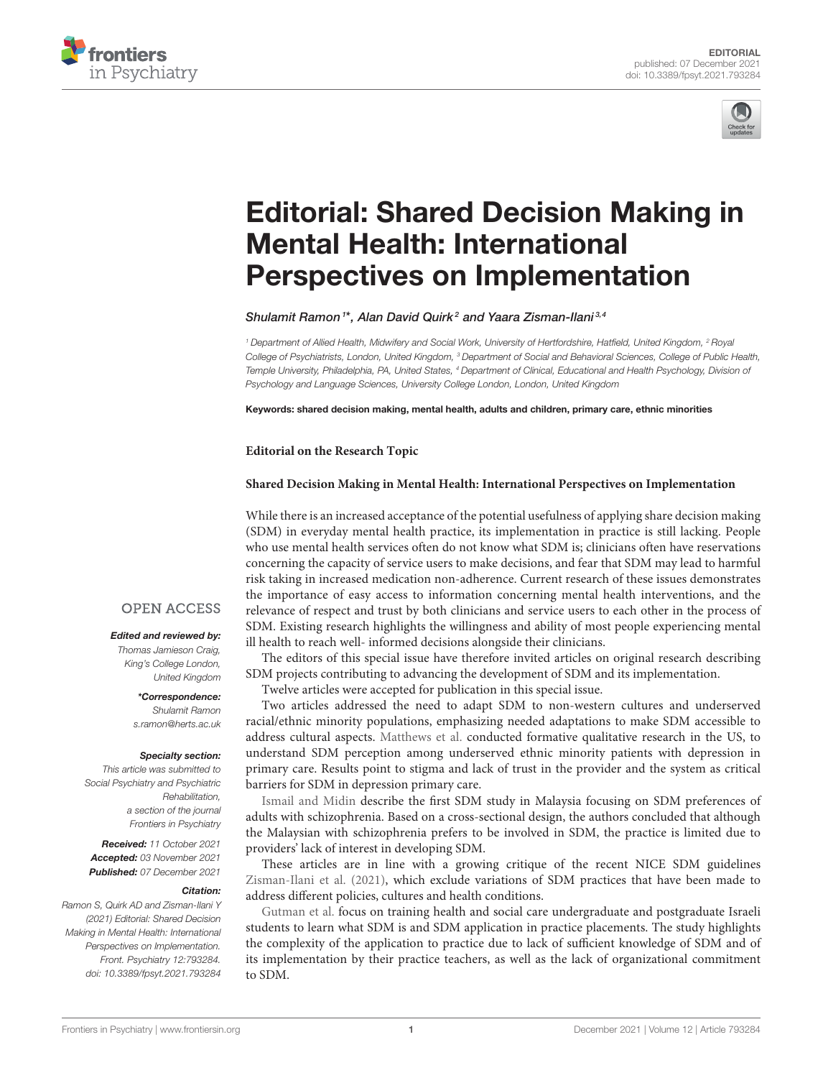



# [Editorial: Shared Decision Making in](https://www.frontiersin.org/articles/10.3389/fpsyt.2021.793284/full) Mental Health: International Perspectives on Implementation

Shulamit Ramon<sup>1\*</sup>, Alan David Quirk<sup>2</sup> and Yaara Zisman-Ilani<sup>3,4</sup>

*<sup>1</sup> Department of Allied Health, Midwifery and Social Work, University of Hertfordshire, Hatfield, United Kingdom, <sup>2</sup> Royal College of Psychiatrists, London, United Kingdom, <sup>3</sup> Department of Social and Behavioral Sciences, College of Public Health, Temple University, Philadelphia, PA, United States, <sup>4</sup> Department of Clinical, Educational and Health Psychology, Division of Psychology and Language Sciences, University College London, London, United Kingdom*

Keywords: shared decision making, mental health, adults and children, primary care, ethnic minorities

## **Editorial on the Research Topic**

## **[Shared Decision Making in Mental Health: International Perspectives on Implementation](https://www.frontiersin.org/research-topics/15065/shared-decision-making-in-mental-health)**

While there is an increased acceptance of the potential usefulness of applying share decision making (SDM) in everyday mental health practice, its implementation in practice is still lacking. People who use mental health services often do not know what SDM is; clinicians often have reservations concerning the capacity of service users to make decisions, and fear that SDM may lead to harmful risk taking in increased medication non-adherence. Current research of these issues demonstrates the importance of easy access to information concerning mental health interventions, and the relevance of respect and trust by both clinicians and service users to each other in the process of SDM. Existing research highlights the willingness and ability of most people experiencing mental ill health to reach well- informed decisions alongside their clinicians.

The editors of this special issue have therefore invited articles on original research describing SDM projects contributing to advancing the development of SDM and its implementation.

Twelve articles were accepted for publication in this special issue.

Two articles addressed the need to adapt SDM to non-western cultures and underserved racial/ethnic minority populations, emphasizing needed adaptations to make SDM accessible to address cultural aspects. [Matthews et al.](https://doi.org/10.3389/fpsyt.2021.681165) conducted formative qualitative research in the US, to understand SDM perception among underserved ethnic minority patients with depression in primary care. Results point to stigma and lack of trust in the provider and the system as critical barriers for SDM in depression primary care.

[Ismail and Midin](https://doi.org/10.3389/fpsyt.2021.680800) describe the first SDM study in Malaysia focusing on SDM preferences of adults with schizophrenia. Based on a cross-sectional design, the authors concluded that although the Malaysian with schizophrenia prefers to be involved in SDM, the practice is limited due to providers' lack of interest in developing SDM.

These articles are in line with a growing critique of the recent NICE SDM guidelines [Zisman-Ilani et al. \(2021\),](https://doi.org/10.1192/bjo.2021.987) which exclude variations of SDM practices that have been made to address different policies, cultures and health conditions.

[Gutman et al.](https://doi.org/10.3389/fpsyt.2021.679036) focus on training health and social care undergraduate and postgraduate Israeli students to learn what SDM is and SDM application in practice placements. The study highlights the complexity of the application to practice due to lack of sufficient knowledge of SDM and of its implementation by their practice teachers, as well as the lack of organizational commitment to SDM.

## **OPEN ACCESS**

### Edited and reviewed by:

*Thomas Jamieson Craig, King's College London, United Kingdom*

## \*Correspondence:

*Shulamit Ramon [s.ramon@herts.ac.uk](mailto:s.ramon@herts.ac.uk)*

#### Specialty section:

*This article was submitted to Social Psychiatry and Psychiatric Rehabilitation, a section of the journal Frontiers in Psychiatry*

Received: *11 October 2021* Accepted: *03 November 2021* Published: *07 December 2021*

#### Citation:

*Ramon S, Quirk AD and Zisman-Ilani Y (2021) Editorial: Shared Decision Making in Mental Health: International Perspectives on Implementation. Front. Psychiatry 12:793284. doi: [10.3389/fpsyt.2021.793284](https://doi.org/10.3389/fpsyt.2021.793284)*